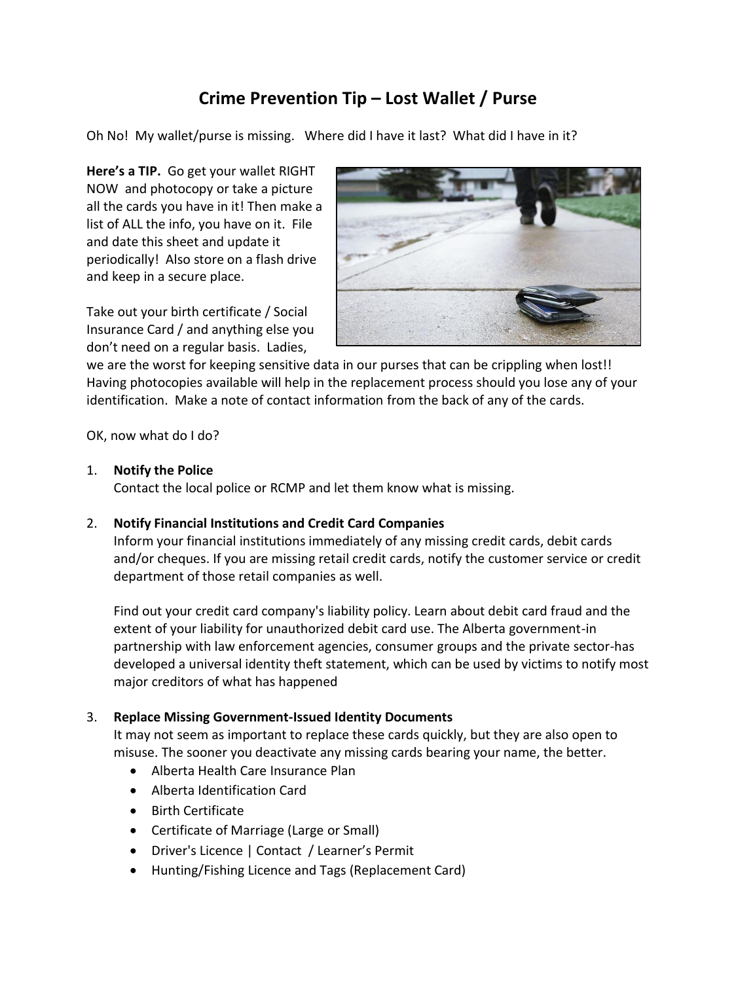# **Crime Prevention Tip – Lost Wallet / Purse**

Oh No! My wallet/purse is missing. Where did I have it last? What did I have in it?

**Here's a TIP.** Go get your wallet RIGHT NOW and photocopy or take a picture all the cards you have in it! Then make a list of ALL the info, you have on it. File and date this sheet and update it periodically! Also store on a flash drive and keep in a secure place.

Take out your birth certificate / Social Insurance Card / and anything else you don't need on a regular basis. Ladies,



we are the worst for keeping sensitive data in our purses that can be crippling when lost!! Having photocopies available will help in the replacement process should you lose any of your identification. Make a note of contact information from the back of any of the cards.

OK, now what do I do?

#### 1. **Notify the Police**

Contact the local police or RCMP and let them know what is missing.

## 2. **Notify Financial Institutions and Credit Card Companies**

Inform your financial institutions immediately of any missing credit cards, debit cards and/or cheques. If you are missing retail credit cards, notify the customer service or credit department of those retail companies as well.

Find out your credit card company's liability policy. Learn about debit card fraud and the extent of your liability for unauthorized debit card use. The Alberta government-in partnership with law enforcement agencies, consumer groups and the private sector-has developed a universal identity theft statement, which can be used by victims to notify most major creditors of what has happened

## 3. **Replace Missing Government-Issued Identity Documents**

It may not seem as important to replace these cards quickly, but they are also open to misuse. The sooner you deactivate any missing cards bearing your name, the better.

- Alberta Health Care Insurance Plan
- Alberta Identification Card
- Birth Certificate
- Certificate of Marriage (Large or Small)
- Driver's Licence | Contact / Learner's Permit
- Hunting/Fishing Licence and Tags (Replacement Card)